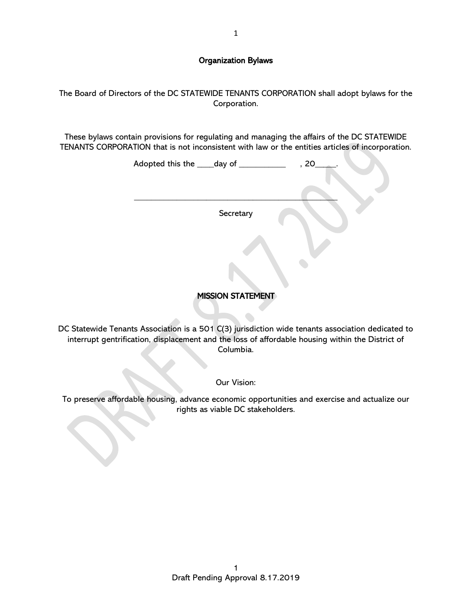## Organization Bylaws

The Board of Directors of the DC STATEWIDE TENANTS CORPORATION shall adopt bylaws for the Corporation.

These bylaws contain provisions for regulating and managing the affairs of the DC STATEWIDE TENANTS CORPORATION that is not inconsistent with law or the entities articles of incorporation.

| Adopted this the ____day of _____ |           | , 20 |  |
|-----------------------------------|-----------|------|--|
|                                   |           |      |  |
|                                   | Secretary |      |  |
|                                   |           |      |  |
|                                   |           |      |  |
|                                   |           |      |  |

# MISSION STATEMENT

DC Statewide Tenants Association is a 501 C(3) jurisdiction wide tenants association dedicated to interrupt gentrification, displacement and the loss of affordable housing within the District of Columbia.

Our Vision:

To preserve affordable housing, advance economic opportunities and exercise and actualize our rights as viable DC stakeholders.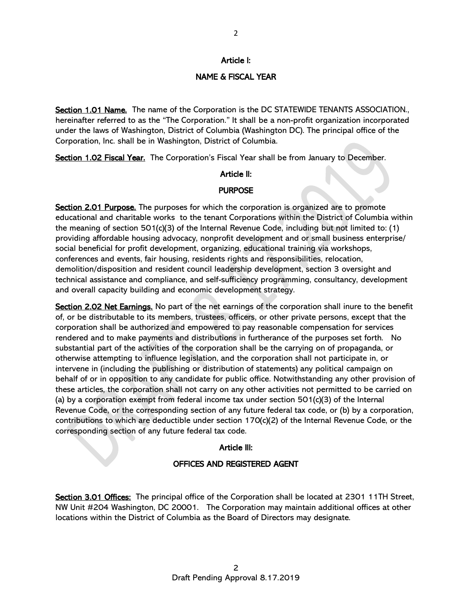#### Article I:

## NAME & FISCAL YEAR

Section 1.01 Name. The name of the Corporation is the DC STATEWIDE TENANTS ASSOCIATION., hereinafter referred to as the "The Corporation." It shall be a non-profit organization incorporated under the laws of Washington, District of Columbia (Washington DC). The principal office of the Corporation, Inc. shall be in Washington, District of Columbia.

Section 1.02 Fiscal Year. The Corporation's Fiscal Year shall be from January to December.

#### Article II:

#### **PURPOSE**

Section 2.01 Purpose. The purposes for which the corporation is organized are to promote educational and charitable works to the tenant Corporations within the District of Columbia within the meaning of section 501(c)(3) of the Internal Revenue Code, including but not limited to: (1) providing affordable housing advocacy, nonprofit development and or small business enterprise/ social beneficial for profit development, organizing, educational training via workshops, conferences and events, fair housing, residents rights and responsibilities, relocation, demolition/disposition and resident council leadership development, section 3 oversight and technical assistance and compliance, and self-sufficiency programming, consultancy, development and overall capacity building and economic development strategy.

Section 2.02 Net Earnings. No part of the net earnings of the corporation shall inure to the benefit of, or be distributable to its members, trustees, officers, or other private persons, except that the corporation shall be authorized and empowered to pay reasonable compensation for services rendered and to make payments and distributions in furtherance of the purposes set forth. No substantial part of the activities of the corporation shall be the carrying on of propaganda, or otherwise attempting to influence legislation, and the corporation shall not participate in, or intervene in (including the publishing or distribution of statements) any political campaign on behalf of or in opposition to any candidate for public office. Notwithstanding any other provision of these articles, the corporation shall not carry on any other activities not permitted to be carried on (a) by a corporation exempt from federal income tax under section  $501(c)(3)$  of the Internal Revenue Code, or the corresponding section of any future federal tax code, or (b) by a corporation, contributions to which are deductible under section 170(c)(2) of the Internal Revenue Code, or the corresponding section of any future federal tax code.

#### Article III:

### OFFICES AND REGISTERED AGENT

Section 3.01 Offices: The principal office of the Corporation shall be located at 2301 11TH Street, NW Unit #204 Washington, DC 20001. The Corporation may maintain additional offices at other locations within the District of Columbia as the Board of Directors may designate.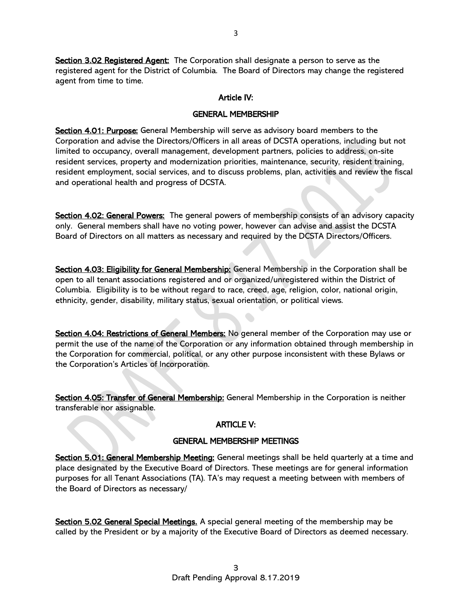Section 3.02 Registered Agent: The Corporation shall designate a person to serve as the registered agent for the District of Columbia. The Board of Directors may change the registered agent from time to time.

## Article IV:

### GENERAL MEMBERSHIP

Section 4.01: Purpose: General Membership will serve as advisory board members to the Corporation and advise the Directors/Officers in all areas of DCSTA operations, including but not limited to occupancy, overall management, development partners, policies to address, on-site resident services, property and modernization priorities, maintenance, security, resident training, resident employment, social services, and to discuss problems, plan, activities and review the fiscal and operational health and progress of DCSTA.

Section 4.02: General Powers: The general powers of membership consists of an advisory capacity only. General members shall have no voting power, however can advise and assist the DCSTA Board of Directors on all matters as necessary and required by the DCSTA Directors/Officers.

Section 4.03: Eligibility for General Membership: General Membership in the Corporation shall be open to all tenant associations registered and or organized/unregistered within the District of Columbia. Eligibility is to be without regard to race, creed, age, religion, color, national origin, ethnicity, gender, disability, military status, sexual orientation, or political views.

Section 4.04: Restrictions of General Members: No general member of the Corporation may use or permit the use of the name of the Corporation or any information obtained through membership in the Corporation for commercial, political, or any other purpose inconsistent with these Bylaws or the Corporation's Articles of Incorporation.

Section 4.05: Transfer of General Membership: General Membership in the Corporation is neither transferable nor assignable.

# ARTICLE V:

## GENERAL MEMBERSHIP MEETINGS

Section 5.01: General Membership Meeting: General meetings shall be held quarterly at a time and place designated by the Executive Board of Directors. These meetings are for general information purposes for all Tenant Associations (TA). TA's may request a meeting between with members of the Board of Directors as necessary/

Section 5.02 General Special Meetings. A special general meeting of the membership may be called by the President or by a majority of the Executive Board of Directors as deemed necessary.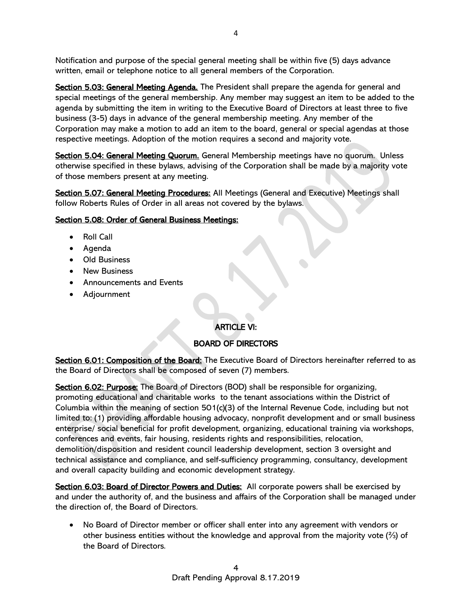Notification and purpose of the special general meeting shall be within five (5) days advance written, email or telephone notice to all general members of the Corporation.

Section 5.03: General Meeting Agenda. The President shall prepare the agenda for general and special meetings of the general membership. Any member may suggest an item to be added to the agenda by submitting the item in writing to the Executive Board of Directors at least three to five business (3-5) days in advance of the general membership meeting. Any member of the Corporation may make a motion to add an item to the board, general or special agendas at those respective meetings. Adoption of the motion requires a second and majority vote.

Section 5.04: General Meeting Quorum. General Membership meetings have no quorum. Unless otherwise specified in these bylaws, advising of the Corporation shall be made by a majority vote of those members present at any meeting.

Section 5.07: General Meeting Procedures: All Meetings (General and Executive) Meetings shall follow Roberts Rules of Order in all areas not covered by the bylaws.

## Section 5.08: Order of General Business Meetings:

- Roll Call
- Agenda
- Old Business
- New Business
- Announcements and Events
- Adjournment

# ARTICLE VI:

# BOARD OF DIRECTORS

Section 6.01: Composition of the Board: The Executive Board of Directors hereinafter referred to as the Board of Directors shall be composed of seven (7) members.

Section 6.02: Purpose: The Board of Directors (BOD) shall be responsible for organizing, promoting educational and charitable works to the tenant associations within the District of Columbia within the meaning of section 501(c)(3) of the Internal Revenue Code, including but not limited to: (1) providing affordable housing advocacy, nonprofit development and or small business enterprise/ social beneficial for profit development, organizing, educational training via workshops, conferences and events, fair housing, residents rights and responsibilities, relocation, demolition/disposition and resident council leadership development, section 3 oversight and technical assistance and compliance, and self-sufficiency programming, consultancy, development and overall capacity building and economic development strategy.

Section 6.03: Board of Director Powers and Duties: All corporate powers shall be exercised by and under the authority of, and the business and affairs of the Corporation shall be managed under the direction of, the Board of Directors.

• No Board of Director member or officer shall enter into any agreement with vendors or other business entities without the knowledge and approval from the majority vote (⅔) of the Board of Directors.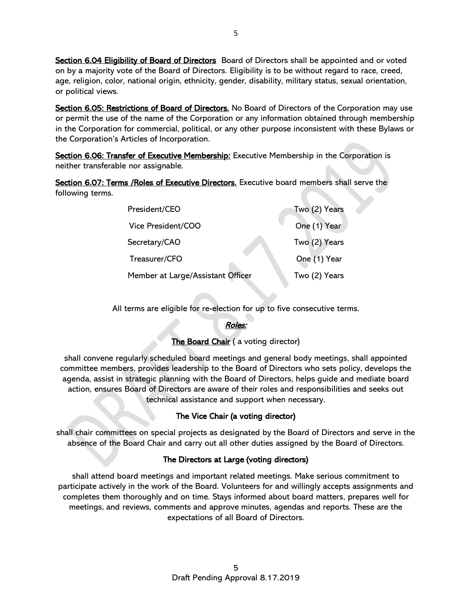Section 6.04 Eligibility of Board of Directors Board of Directors shall be appointed and or voted on by a majority vote of the Board of Directors. Eligibility is to be without regard to race, creed, age, religion, color, national origin, ethnicity, gender, disability, military status, sexual orientation, or political views.

Section 6.05: Restrictions of Board of Directors. No Board of Directors of the Corporation may use or permit the use of the name of the Corporation or any information obtained through membership in the Corporation for commercial, political, or any other purpose inconsistent with these Bylaws or the Corporation's Articles of Incorporation.

Section 6.06: Transfer of Executive Membership: Executive Membership in the Corporation is neither transferable nor assignable.

Section 6.07: Terms / Roles of Executive Directors. Executive board members shall serve the following terms.

| President/CEO                     | Two (2) Years |
|-----------------------------------|---------------|
| Vice President/COO                | One (1) Year  |
| Secretary/CAO                     | Two (2) Years |
| Treasurer/CFO                     | One (1) Year  |
| Member at Large/Assistant Officer | Two (2) Years |
|                                   |               |

All terms are eligible for re-election for up to five consecutive terms.

# Roles:

# The Board Chair (a voting director)

shall convene regularly scheduled board meetings and general body meetings, shall appointed committee members, provides leadership to the Board of Directors who sets policy, develops the agenda, assist in strategic planning with the Board of Directors, helps guide and mediate board action, ensures Board of Directors are aware of their roles and responsibilities and seeks out technical assistance and support when necessary.

# The Vice Chair (a voting director)

shall chair committees on special projects as designated by the Board of Directors and serve in the absence of the Board Chair and carry out all other duties assigned by the Board of Directors.

# The Directors at Large (voting directors)

shall attend board meetings and important related meetings. Make serious commitment to participate actively in the work of the Board. Volunteers for and willingly accepts assignments and completes them thoroughly and on time. Stays informed about board matters, prepares well for meetings, and reviews, comments and approve minutes, agendas and reports. These are the expectations of all Board of Directors.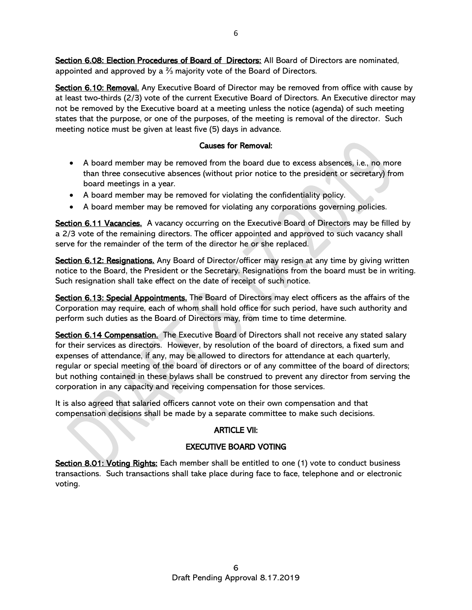Section 6.08: Election Procedures of Board of Directors: All Board of Directors are nominated, appointed and approved by a ⅔ majority vote of the Board of Directors.

Section 6.10: Removal. Any Executive Board of Director may be removed from office with cause by at least two-thirds (2/3) vote of the current Executive Board of Directors. An Executive director may not be removed by the Executive board at a meeting unless the notice (agenda) of such meeting states that the purpose, or one of the purposes, of the meeting is removal of the director. Such meeting notice must be given at least five (5) days in advance.

## Causes for Removal:

- A board member may be removed from the board due to excess absences, i.e., no more than three consecutive absences (without prior notice to the president or secretary) from board meetings in a year.
- A board member may be removed for violating the confidentiality policy.
- A board member may be removed for violating any corporations governing policies.

Section 6.11 Vacancies. A vacancy occurring on the Executive Board of Directors may be filled by a 2/3 vote of the remaining directors. The officer appointed and approved to such vacancy shall serve for the remainder of the term of the director he or she replaced.

Section 6.12: Resignations. Any Board of Director/officer may resign at any time by giving written notice to the Board, the President or the Secretary. Resignations from the board must be in writing. Such resignation shall take effect on the date of receipt of such notice.

Section 6.13: Special Appointments. The Board of Directors may elect officers as the affairs of the Corporation may require, each of whom shall hold office for such period, have such authority and perform such duties as the Board of Directors may, from time to time determine.

Section 6.14 Compensation. The Executive Board of Directors shall not receive any stated salary for their services as directors. However, by resolution of the board of directors, a fixed sum and expenses of attendance, if any, may be allowed to directors for attendance at each quarterly, regular or special meeting of the board of directors or of any committee of the board of directors; but nothing contained in these bylaws shall be construed to prevent any director from serving the corporation in any capacity and receiving compensation for those services.

It is also agreed that salaried officers cannot vote on their own compensation and that compensation decisions shall be made by a separate committee to make such decisions.

# ARTICLE VII:

# EXECUTIVE BOARD VOTING

Section 8.01: Voting Rights: Each member shall be entitled to one (1) vote to conduct business transactions. Such transactions shall take place during face to face, telephone and or electronic voting.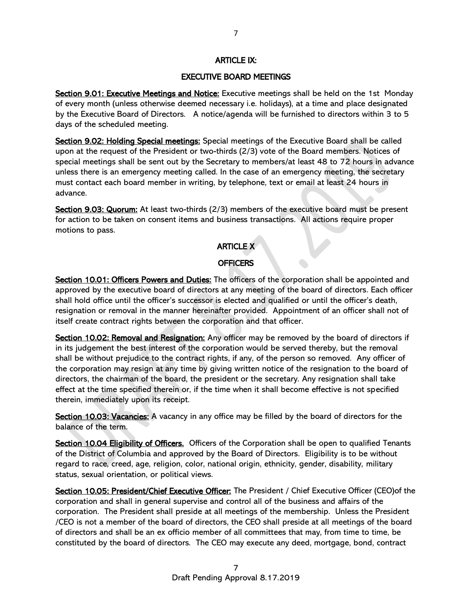## ARTICLE IX:

### EXECUTIVE BOARD MEETINGS

Section 9.01: Executive Meetings and Notice: Executive meetings shall be held on the 1st Monday of every month (unless otherwise deemed necessary i.e. holidays), at a time and place designated by the Executive Board of Directors. A notice/agenda will be furnished to directors within 3 to 5 days of the scheduled meeting.

Section 9.02: Holding Special meetings: Special meetings of the Executive Board shall be called upon at the request of the President or two-thirds (2/3) vote of the Board members. Notices of special meetings shall be sent out by the Secretary to members/at least 48 to 72 hours in advance unless there is an emergency meeting called. In the case of an emergency meeting, the secretary must contact each board member in writing, by telephone, text or email at least 24 hours in advance.

Section 9.03: Quorum: At least two-thirds (2/3) members of the executive board must be present for action to be taken on consent items and business transactions. All actions require proper motions to pass.

# ARTICLE X

#### **OFFICERS**

Section 10.01: Officers Powers and Duties: The officers of the corporation shall be appointed and approved by the executive board of directors at any meeting of the board of directors. Each officer shall hold office until the officer's successor is elected and qualified or until the officer's death, resignation or removal in the manner hereinafter provided. Appointment of an officer shall not of itself create contract rights between the corporation and that officer.

Section 10.02: Removal and Resignation: Any officer may be removed by the board of directors if in its judgement the best interest of the corporation would be served thereby, but the removal shall be without prejudice to the contract rights, if any, of the person so removed. Any officer of the corporation may resign at any time by giving written notice of the resignation to the board of directors, the chairman of the board, the president or the secretary. Any resignation shall take effect at the time specified therein or, if the time when it shall become effective is not specified therein, immediately upon its receipt.

Section 10.03: Vacancies: A vacancy in any office may be filled by the board of directors for the balance of the term.

Section 10.04 Eligibility of Officers. Officers of the Corporation shall be open to qualified Tenants of the District of Columbia and approved by the Board of Directors. Eligibility is to be without regard to race, creed, age, religion, color, national origin, ethnicity, gender, disability, military status, sexual orientation, or political views.

Section 10.05: President/Chief Executive Officer: The President / Chief Executive Officer (CEO) of the corporation and shall in general supervise and control all of the business and affairs of the corporation. The President shall preside at all meetings of the membership. Unless the President /CEO is not a member of the board of directors, the CEO shall preside at all meetings of the board of directors and shall be an ex officio member of all committees that may, from time to time, be constituted by the board of directors. The CEO may execute any deed, mortgage, bond, contract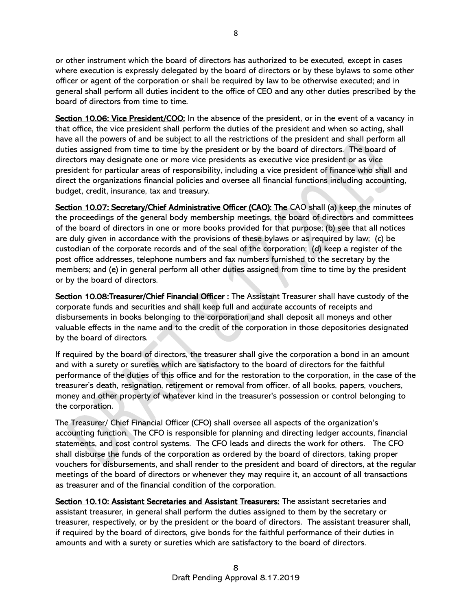or other instrument which the board of directors has authorized to be executed, except in cases where execution is expressly delegated by the board of directors or by these bylaws to some other officer or agent of the corporation or shall be required by law to be otherwise executed; and in general shall perform all duties incident to the office of CEO and any other duties prescribed by the board of directors from time to time.

Section 10.06: Vice President/COO: In the absence of the president, or in the event of a vacancy in that office, the vice president shall perform the duties of the president and when so acting, shall have all the powers of and be subject to all the restrictions of the president and shall perform all duties assigned from time to time by the president or by the board of directors. The board of directors may designate one or more vice presidents as executive vice president or as vice president for particular areas of responsibility, including a vice president of finance who shall and direct the organizations financial policies and oversee all financial functions including accounting, budget, credit, insurance, tax and treasury.

Section 10.07: Secretary/Chief Administrative Officer (CAO): The CAO shall (a) keep the minutes of the proceedings of the general body membership meetings, the board of directors and committees of the board of directors in one or more books provided for that purpose; (b) see that all notices are duly given in accordance with the provisions of these bylaws or as required by law; (c) be custodian of the corporate records and of the seal of the corporation; (d) keep a register of the post office addresses, telephone numbers and fax numbers furnished to the secretary by the members; and (e) in general perform all other duties assigned from time to time by the president or by the board of directors.

Section 10.08: Treasurer/Chief Financial Officer: The Assistant Treasurer shall have custody of the corporate funds and securities and shall keep full and accurate accounts of receipts and disbursements in books belonging to the corporation and shall deposit all moneys and other valuable effects in the name and to the credit of the corporation in those depositories designated by the board of directors.

If required by the board of directors, the treasurer shall give the corporation a bond in an amount and with a surety or sureties which are satisfactory to the board of directors for the faithful performance of the duties of this office and for the restoration to the corporation, in the case of the treasurer's death, resignation, retirement or removal from officer, of all books, papers, vouchers, money and other property of whatever kind in the treasurer's possession or control belonging to the corporation.

The Treasurer/ Chief Financial Officer (CFO) shall oversee all aspects of the organization's accounting function. The CFO is responsible for planning and directing ledger accounts, financial statements, and cost control systems. The CFO leads and directs the work for others. The CFO shall disburse the funds of the corporation as ordered by the board of directors, taking proper vouchers for disbursements, and shall render to the president and board of directors, at the regular meetings of the board of directors or whenever they may require it, an account of all transactions as treasurer and of the financial condition of the corporation.

Section 10.10: Assistant Secretaries and Assistant Treasurers: The assistant secretaries and assistant treasurer, in general shall perform the duties assigned to them by the secretary or treasurer, respectively, or by the president or the board of directors. The assistant treasurer shall, if required by the board of directors, give bonds for the faithful performance of their duties in amounts and with a surety or sureties which are satisfactory to the board of directors.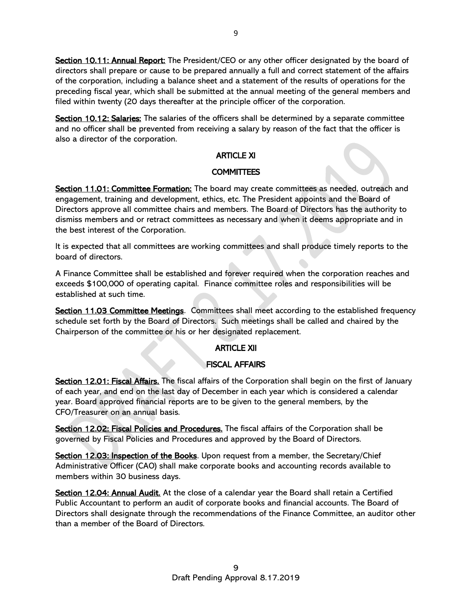Section 10.11: Annual Report: The President/CEO or any other officer designated by the board of directors shall prepare or cause to be prepared annually a full and correct statement of the affairs of the corporation, including a balance sheet and a statement of the results of operations for the preceding fiscal year, which shall be submitted at the annual meeting of the general members and filed within twenty (20 days thereafter at the principle officer of the corporation.

Section 10.12: Salaries: The salaries of the officers shall be determined by a separate committee and no officer shall be prevented from receiving a salary by reason of the fact that the officer is also a director of the corporation.

# ARTICLE XI

## **COMMITTEES**

Section 11.01: Committee Formation: The board may create committees as needed, outreach and engagement, training and development, ethics, etc. The President appoints and the Board of Directors approve all committee chairs and members. The Board of Directors has the authority to dismiss members and or retract committees as necessary and when it deems appropriate and in the best interest of the Corporation.

It is expected that all committees are working committees and shall produce timely reports to the board of directors.

A Finance Committee shall be established and forever required when the corporation reaches and exceeds \$100,000 of operating capital. Finance committee roles and responsibilities will be established at such time.

Section 11.03 Committee Meetings. Committees shall meet according to the established frequency schedule set forth by the Board of Directors. Such meetings shall be called and chaired by the Chairperson of the committee or his or her designated replacement.

# ARTICLE XII

# FISCAL AFFAIRS

Section 12.01: Fiscal Affairs. The fiscal affairs of the Corporation shall begin on the first of January of each year, and end on the last day of December in each year which is considered a calendar year. Board approved financial reports are to be given to the general members, by the CFO/Treasurer on an annual basis.

Section 12.02: Fiscal Policies and Procedures. The fiscal affairs of the Corporation shall be governed by Fiscal Policies and Procedures and approved by the Board of Directors.

Section 12.03: Inspection of the Books. Upon request from a member, the Secretary/Chief Administrative Officer (CAO) shall make corporate books and accounting records available to members within 30 business days.

Section 12.04: Annual Audit. At the close of a calendar year the Board shall retain a Certified Public Accountant to perform an audit of corporate books and financial accounts. The Board of Directors shall designate through the recommendations of the Finance Committee, an auditor other than a member of the Board of Directors.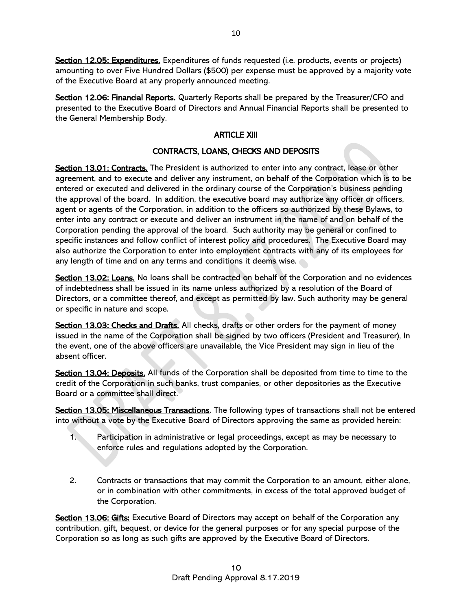Section 12.05: Expenditures. Expenditures of funds requested (i.e. products, events or projects) amounting to over Five Hundred Dollars (\$500) per expense must be approved by a majority vote of the Executive Board at any properly announced meeting.

Section 12.06: Financial Reports. Quarterly Reports shall be prepared by the Treasurer/CFO and presented to the Executive Board of Directors and Annual Financial Reports shall be presented to the General Membership Body.

# ARTICLE XIII

# CONTRACTS, LOANS, CHECKS AND DEPOSITS

Section 13.01: Contracts. The President is authorized to enter into any contract, lease or other agreement, and to execute and deliver any instrument, on behalf of the Corporation which is to be entered or executed and delivered in the ordinary course of the Corporation's business pending the approval of the board. In addition, the executive board may authorize any officer or officers, agent or agents of the Corporation, in addition to the officers so authorized by these Bylaws, to enter into any contract or execute and deliver an instrument in the name of and on behalf of the Corporation pending the approval of the board. Such authority may be general or confined to specific instances and follow conflict of interest policy and procedures. The Executive Board may also authorize the Corporation to enter into employment contracts with any of its employees for any length of time and on any terms and conditions it deems wise.

Section 13.02: Loans. No loans shall be contracted on behalf of the Corporation and no evidences of indebtedness shall be issued in its name unless authorized by a resolution of the Board of Directors, or a committee thereof, and except as permitted by law. Such authority may be general or specific in nature and scope.

Section 13.03: Checks and Drafts. All checks, drafts or other orders for the payment of money issued in the name of the Corporation shall be signed by two officers (President and Treasurer), In the event, one of the above officers are unavailable, the Vice President may sign in lieu of the absent officer.

Section 13.04: Deposits. All funds of the Corporation shall be deposited from time to time to the credit of the Corporation in such banks, trust companies, or other depositories as the Executive Board or a committee shall direct.

Section 13.05: Miscellaneous Transactions. The following types of transactions shall not be entered into without a vote by the Executive Board of Directors approving the same as provided herein:

- 1. Participation in administrative or legal proceedings, except as may be necessary to enforce rules and regulations adopted by the Corporation.
- 2. Contracts or transactions that may commit the Corporation to an amount, either alone, or in combination with other commitments, in excess of the total approved budget of the Corporation.

Section 13.06: Gifts: Executive Board of Directors may accept on behalf of the Corporation any contribution, gift, bequest, or device for the general purposes or for any special purpose of the Corporation so as long as such gifts are approved by the Executive Board of Directors.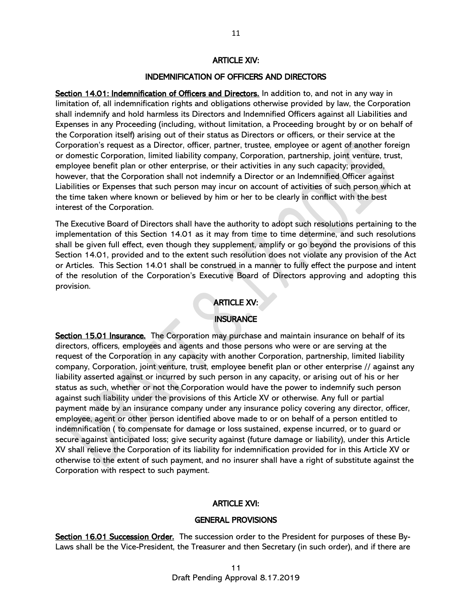#### ARTICLE XIV:

### INDEMNIFICATION OF OFFICERS AND DIRECTORS

Section 14.01: Indemnification of Officers and Directors. In addition to, and not in any way in limitation of, all indemnification rights and obligations otherwise provided by law, the Corporation shall indemnify and hold harmless its Directors and Indemnified Officers against all Liabilities and Expenses in any Proceeding (including, without limitation, a Proceeding brought by or on behalf of the Corporation itself) arising out of their status as Directors or officers, or their service at the Corporation's request as a Director, officer, partner, trustee, employee or agent of another foreign or domestic Corporation, limited liability company, Corporation, partnership, joint venture, trust, employee benefit plan or other enterprise, or their activities in any such capacity; provided, however, that the Corporation shall not indemnify a Director or an Indemnified Officer against Liabilities or Expenses that such person may incur on account of activities of such person which at the time taken where known or believed by him or her to be clearly in conflict with the best interest of the Corporation.

The Executive Board of Directors shall have the authority to adopt such resolutions pertaining to the implementation of this Section 14.01 as it may from time to time determine, and such resolutions shall be given full effect, even though they supplement, amplify or go beyond the provisions of this Section 14.01, provided and to the extent such resolution does not violate any provision of the Act or Articles. This Section 14.01 shall be construed in a manner to fully effect the purpose and intent of the resolution of the Corporation's Executive Board of Directors approving and adopting this provision.

## ARTICLE XV:

### **INSURANCE**

Section 15.01 Insurance. The Corporation may purchase and maintain insurance on behalf of its directors, officers, employees and agents and those persons who were or are serving at the request of the Corporation in any capacity with another Corporation, partnership, limited liability company, Corporation, joint venture, trust, employee benefit plan or other enterprise // against any liability asserted against or incurred by such person in any capacity, or arising out of his or her status as such, whether or not the Corporation would have the power to indemnify such person against such liability under the provisions of this Article XV or otherwise. Any full or partial payment made by an insurance company under any insurance policy covering any director, officer, employee, agent or other person identified above made to or on behalf of a person entitled to indemnification ( to compensate for damage or loss sustained, expense incurred, or to guard or secure against anticipated loss; give security against (future damage or liability), under this Article XV shall relieve the Corporation of its liability for indemnification provided for in this Article XV or otherwise to the extent of such payment, and no insurer shall have a right of substitute against the Corporation with respect to such payment.

#### ARTICLE XVI:

#### GENERAL PROVISIONS

Section 16.01 Succession Order. The succession order to the President for purposes of these By-Laws shall be the Vice-President, the Treasurer and then Secretary (in such order), and if there are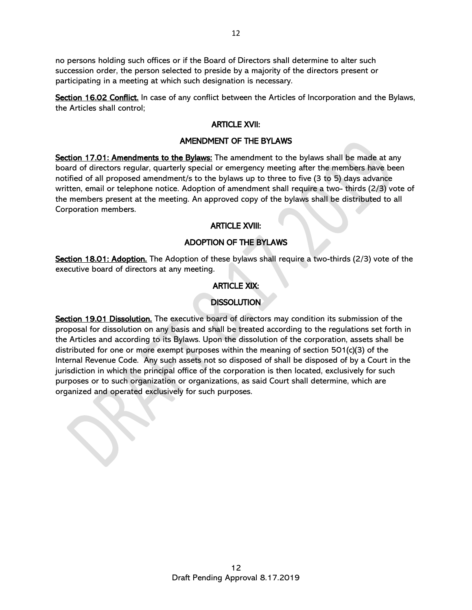no persons holding such offices or if the Board of Directors shall determine to alter such succession order, the person selected to preside by a majority of the directors present or participating in a meeting at which such designation is necessary.

Section 16.02 Conflict. In case of any conflict between the Articles of Incorporation and the Bylaws, the Articles shall control;

#### ARTICLE XVII:

#### AMENDMENT OF THE BYLAWS

Section 17.01: Amendments to the Bylaws: The amendment to the bylaws shall be made at any board of directors regular, quarterly special or emergency meeting after the members have been notified of all proposed amendment/s to the bylaws up to three to five (3 to 5) days advance written, email or telephone notice. Adoption of amendment shall require a two- thirds (2/3) vote of the members present at the meeting. An approved copy of the bylaws shall be distributed to all Corporation members.

#### ARTICLE XVIII:

#### ADOPTION OF THE BYLAWS

Section 18.01: Adoption. The Adoption of these bylaws shall require a two-thirds (2/3) vote of the executive board of directors at any meeting.

### ARTICLE XIX:

### **DISSOLUTION**

Section 19.01 Dissolution. The executive board of directors may condition its submission of the proposal for dissolution on any basis and shall be treated according to the regulations set forth in the Articles and according to its Bylaws. Upon the dissolution of the corporation, assets shall be distributed for one or more exempt purposes within the meaning of section 501(c)(3) of the Internal Revenue Code. Any such assets not so disposed of shall be disposed of by a Court in the jurisdiction in which the principal office of the corporation is then located, exclusively for such purposes or to such organization or organizations, as said Court shall determine, which are organized and operated exclusively for such purposes.